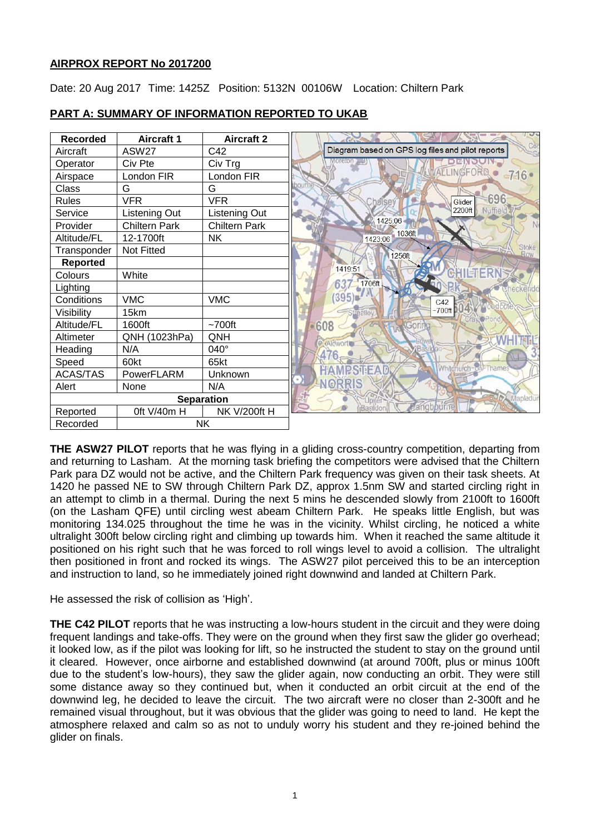# **AIRPROX REPORT No 2017200**

Date: 20 Aug 2017 Time: 1425Z Position: 5132N 00106W Location: Chiltern Park



## **PART A: SUMMARY OF INFORMATION REPORTED TO UKAB**

**THE ASW27 PILOT** reports that he was flying in a gliding cross-country competition, departing from and returning to Lasham. At the morning task briefing the competitors were advised that the Chiltern Park para DZ would not be active, and the Chiltern Park frequency was given on their task sheets. At 1420 he passed NE to SW through Chiltern Park DZ, approx 1.5nm SW and started circling right in an attempt to climb in a thermal. During the next 5 mins he descended slowly from 2100ft to 1600ft (on the Lasham QFE) until circling west abeam Chiltern Park. He speaks little English, but was monitoring 134.025 throughout the time he was in the vicinity. Whilst circling, he noticed a white ultralight 300ft below circling right and climbing up towards him. When it reached the same altitude it positioned on his right such that he was forced to roll wings level to avoid a collision. The ultralight then positioned in front and rocked its wings. The ASW27 pilot perceived this to be an interception and instruction to land, so he immediately joined right downwind and landed at Chiltern Park.

He assessed the risk of collision as 'High'.

**THE C42 PILOT** reports that he was instructing a low-hours student in the circuit and they were doing frequent landings and take-offs. They were on the ground when they first saw the glider go overhead; it looked low, as if the pilot was looking for lift, so he instructed the student to stay on the ground until it cleared. However, once airborne and established downwind (at around 700ft, plus or minus 100ft due to the student's low-hours), they saw the glider again, now conducting an orbit. They were still some distance away so they continued but, when it conducted an orbit circuit at the end of the downwind leg, he decided to leave the circuit. The two aircraft were no closer than 2-300ft and he remained visual throughout, but it was obvious that the glider was going to need to land. He kept the atmosphere relaxed and calm so as not to unduly worry his student and they re-joined behind the glider on finals.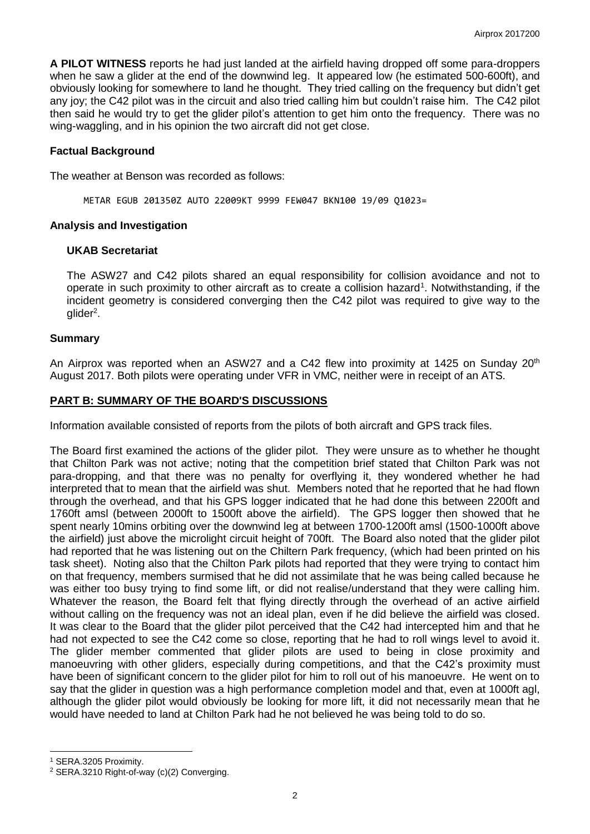**A PILOT WITNESS** reports he had just landed at the airfield having dropped off some para-droppers when he saw a glider at the end of the downwind leg. It appeared low (he estimated 500-600ft), and obviously looking for somewhere to land he thought. They tried calling on the frequency but didn't get any joy; the C42 pilot was in the circuit and also tried calling him but couldn't raise him. The C42 pilot then said he would try to get the glider pilot's attention to get him onto the frequency. There was no wing-waggling, and in his opinion the two aircraft did not get close.

### **Factual Background**

The weather at Benson was recorded as follows:

METAR EGUB 201350Z AUTO 22009KT 9999 FEW047 BKN100 19/09 Q1023=

### **Analysis and Investigation**

### **UKAB Secretariat**

The ASW27 and C42 pilots shared an equal responsibility for collision avoidance and not to operate in such proximity to other aircraft as to create a collision hazard<sup>1</sup>. Notwithstanding, if the incident geometry is considered converging then the C42 pilot was required to give way to the glider<sup>2</sup>.

### **Summary**

An Airprox was reported when an ASW27 and a C42 flew into proximity at 1425 on Sunday 20<sup>th</sup> August 2017. Both pilots were operating under VFR in VMC, neither were in receipt of an ATS.

# **PART B: SUMMARY OF THE BOARD'S DISCUSSIONS**

Information available consisted of reports from the pilots of both aircraft and GPS track files.

The Board first examined the actions of the glider pilot. They were unsure as to whether he thought that Chilton Park was not active; noting that the competition brief stated that Chilton Park was not para-dropping, and that there was no penalty for overflying it, they wondered whether he had interpreted that to mean that the airfield was shut. Members noted that he reported that he had flown through the overhead, and that his GPS logger indicated that he had done this between 2200ft and 1760ft amsl (between 2000ft to 1500ft above the airfield). The GPS logger then showed that he spent nearly 10mins orbiting over the downwind leg at between 1700-1200ft amsl (1500-1000ft above the airfield) just above the microlight circuit height of 700ft. The Board also noted that the glider pilot had reported that he was listening out on the Chiltern Park frequency, (which had been printed on his task sheet). Noting also that the Chilton Park pilots had reported that they were trying to contact him on that frequency, members surmised that he did not assimilate that he was being called because he was either too busy trying to find some lift, or did not realise/understand that they were calling him. Whatever the reason, the Board felt that flying directly through the overhead of an active airfield without calling on the frequency was not an ideal plan, even if he did believe the airfield was closed. It was clear to the Board that the glider pilot perceived that the C42 had intercepted him and that he had not expected to see the C42 come so close, reporting that he had to roll wings level to avoid it. The glider member commented that glider pilots are used to being in close proximity and manoeuvring with other gliders, especially during competitions, and that the C42's proximity must have been of significant concern to the glider pilot for him to roll out of his manoeuvre. He went on to say that the glider in question was a high performance completion model and that, even at 1000ft agl, although the glider pilot would obviously be looking for more lift, it did not necessarily mean that he would have needed to land at Chilton Park had he not believed he was being told to do so.

 $\overline{\phantom{a}}$ 

<sup>1</sup> SERA.3205 Proximity.

<sup>2</sup> SERA.3210 Right-of-way (c)(2) Converging.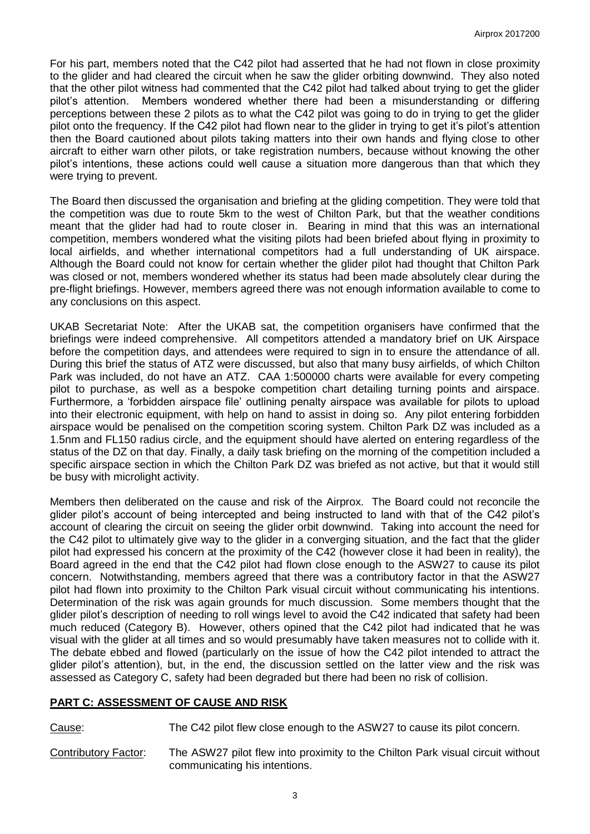For his part, members noted that the C42 pilot had asserted that he had not flown in close proximity to the glider and had cleared the circuit when he saw the glider orbiting downwind. They also noted that the other pilot witness had commented that the C42 pilot had talked about trying to get the glider pilot's attention. Members wondered whether there had been a misunderstanding or differing perceptions between these 2 pilots as to what the C42 pilot was going to do in trying to get the glider pilot onto the frequency. If the C42 pilot had flown near to the glider in trying to get it's pilot's attention then the Board cautioned about pilots taking matters into their own hands and flying close to other aircraft to either warn other pilots, or take registration numbers, because without knowing the other pilot's intentions, these actions could well cause a situation more dangerous than that which they were trying to prevent.

The Board then discussed the organisation and briefing at the gliding competition. They were told that the competition was due to route 5km to the west of Chilton Park, but that the weather conditions meant that the glider had had to route closer in. Bearing in mind that this was an international competition, members wondered what the visiting pilots had been briefed about flying in proximity to local airfields, and whether international competitors had a full understanding of UK airspace. Although the Board could not know for certain whether the glider pilot had thought that Chilton Park was closed or not, members wondered whether its status had been made absolutely clear during the pre-flight briefings. However, members agreed there was not enough information available to come to any conclusions on this aspect.

UKAB Secretariat Note: After the UKAB sat, the competition organisers have confirmed that the briefings were indeed comprehensive. All competitors attended a mandatory brief on UK Airspace before the competition days, and attendees were required to sign in to ensure the attendance of all. During this brief the status of ATZ were discussed, but also that many busy airfields, of which Chilton Park was included, do not have an ATZ. CAA 1:500000 charts were available for every competing pilot to purchase, as well as a bespoke competition chart detailing turning points and airspace. Furthermore, a 'forbidden airspace file' outlining penalty airspace was available for pilots to upload into their electronic equipment, with help on hand to assist in doing so. Any pilot entering forbidden airspace would be penalised on the competition scoring system. Chilton Park DZ was included as a 1.5nm and FL150 radius circle, and the equipment should have alerted on entering regardless of the status of the DZ on that day. Finally, a daily task briefing on the morning of the competition included a specific airspace section in which the Chilton Park DZ was briefed as not active, but that it would still be busy with microlight activity.

Members then deliberated on the cause and risk of the Airprox. The Board could not reconcile the glider pilot's account of being intercepted and being instructed to land with that of the C42 pilot's account of clearing the circuit on seeing the glider orbit downwind. Taking into account the need for the C42 pilot to ultimately give way to the glider in a converging situation, and the fact that the glider pilot had expressed his concern at the proximity of the C42 (however close it had been in reality), the Board agreed in the end that the C42 pilot had flown close enough to the ASW27 to cause its pilot concern. Notwithstanding, members agreed that there was a contributory factor in that the ASW27 pilot had flown into proximity to the Chilton Park visual circuit without communicating his intentions. Determination of the risk was again grounds for much discussion. Some members thought that the glider pilot's description of needing to roll wings level to avoid the C42 indicated that safety had been much reduced (Category B). However, others opined that the C42 pilot had indicated that he was visual with the glider at all times and so would presumably have taken measures not to collide with it. The debate ebbed and flowed (particularly on the issue of how the C42 pilot intended to attract the glider pilot's attention), but, in the end, the discussion settled on the latter view and the risk was assessed as Category C, safety had been degraded but there had been no risk of collision.

# **PART C: ASSESSMENT OF CAUSE AND RISK**

Cause: The C42 pilot flew close enough to the ASW27 to cause its pilot concern.

Contributory Factor: The ASW27 pilot flew into proximity to the Chilton Park visual circuit without communicating his intentions.